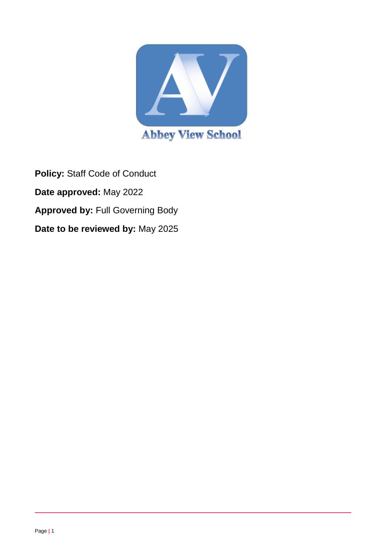

**Policy:** Staff Code of Conduct **Date approved:** May 2022 **Approved by:** Full Governing Body **Date to be reviewed by:** May 2025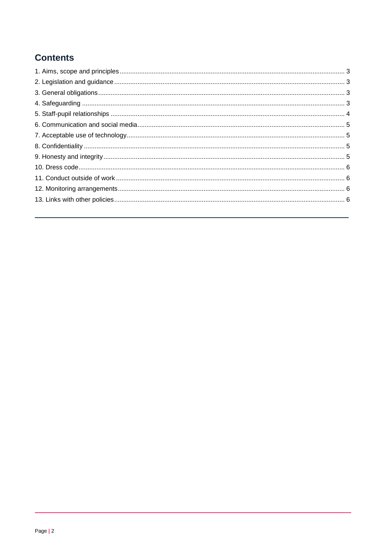# **Contents**

<span id="page-1-0"></span>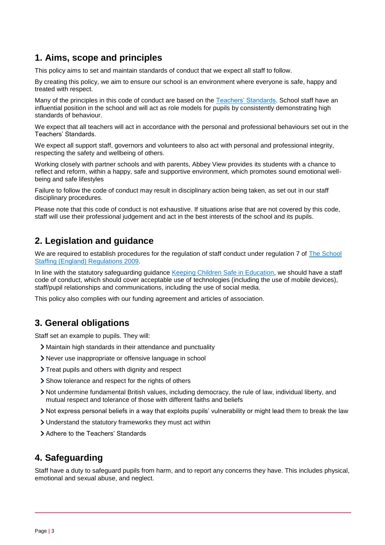# **1. Aims, scope and principles**

This policy aims to set and maintain standards of conduct that we expect all staff to follow.

By creating this policy, we aim to ensure our school is an environment where everyone is safe, happy and treated with respect.

Many of the principles in this code of conduct are based on the [Teachers' Standards.](https://www.gov.uk/government/publications/teachers-standards) School staff have an influential position in the school and will act as role models for pupils by consistently demonstrating high standards of behaviour.

We expect that all teachers will act in accordance with the personal and professional behaviours set out in the Teachers' Standards.

We expect all support staff, governors and volunteers to also act with personal and professional integrity, respecting the safety and wellbeing of others.

Working closely with partner schools and with parents, Abbey View provides its students with a chance to reflect and reform, within a happy, safe and supportive environment, which promotes sound emotional wellbeing and safe lifestyles

Failure to follow the code of conduct may result in disciplinary action being taken, as set out in our staff disciplinary procedures.

Please note that this code of conduct is not exhaustive. If situations arise that are not covered by this code, staff will use their professional judgement and act in the best interests of the school and its pupils.

#### <span id="page-2-0"></span>**2. Legislation and guidance**

We are required to establish procedures for the regulation of staff conduct under regulation 7 of [The School](http://www.legislation.gov.uk/uksi/2009/2680/contents/made)  [Staffing \(England\) Regulations 2009.](http://www.legislation.gov.uk/uksi/2009/2680/contents/made)

In line with the statutory safeguarding guidance [Keeping Children Safe in Education,](https://www.gov.uk/government/publications/keeping-children-safe-in-education--2) we should have a staff code of conduct, which should cover acceptable use of technologies (including the use of mobile devices), staff/pupil relationships and communications, including the use of social media.

This policy also complies with our funding agreement and articles of association.

# <span id="page-2-1"></span>**3. General obligations**

Staff set an example to pupils. They will:

- Maintain high standards in their attendance and punctuality
- Never use inappropriate or offensive language in school
- > Treat pupils and others with dignity and respect
- Show tolerance and respect for the rights of others
- Not undermine fundamental British values, including democracy, the rule of law, individual liberty, and mutual respect and tolerance of those with different faiths and beliefs
- Not express personal beliefs in a way that exploits pupils' vulnerability or might lead them to break the law
- Understand the statutory frameworks they must act within
- Adhere to the Teachers' Standards

#### <span id="page-2-2"></span>**4. Safeguarding**

Staff have a duty to safeguard pupils from harm, and to report any concerns they have. This includes physical, emotional and sexual abuse, and neglect.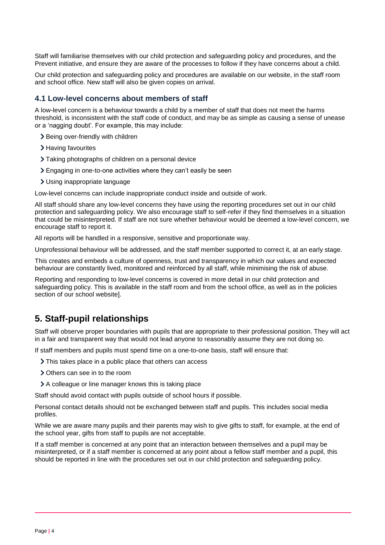Staff will familiarise themselves with our child protection and safeguarding policy and procedures, and the Prevent initiative, and ensure they are aware of the processes to follow if they have concerns about a child.

Our child protection and safeguarding policy and procedures are available on our website, in the staff room and school office. New staff will also be given copies on arrival.

#### **4.1 Low-level concerns about members of staff**

A low-level concern is a behaviour towards a child by a member of staff that does not meet the harms threshold, is inconsistent with the staff code of conduct, and may be as simple as causing a sense of unease or a 'nagging doubt'. For example, this may include:

- > Being over-friendly with children
- > Having favourites
- Taking photographs of children on a personal device
- Engaging in one-to-one activities where they can't easily be seen
- Using inappropriate language

Low-level concerns can include inappropriate conduct inside and outside of work.

All staff should share any low-level concerns they have using the reporting procedures set out in our child protection and safeguarding policy. We also encourage staff to self-refer if they find themselves in a situation that could be misinterpreted. If staff are not sure whether behaviour would be deemed a low-level concern, we encourage staff to report it.

All reports will be handled in a responsive, sensitive and proportionate way.

Unprofessional behaviour will be addressed, and the staff member supported to correct it, at an early stage.

This creates and embeds a culture of openness, trust and transparency in which our values and expected behaviour are constantly lived, monitored and reinforced by all staff, while minimising the risk of abuse.

Reporting and responding to low-level concerns is covered in more detail in our child protection and safeguarding policy. This is available in the staff room and from the school office, as well as in the policies section of our school website].

#### <span id="page-3-0"></span>**5. Staff-pupil relationships**

Staff will observe proper boundaries with pupils that are appropriate to their professional position. They will act in a fair and transparent way that would not lead anyone to reasonably assume they are not doing so.

If staff members and pupils must spend time on a one-to-one basis, staff will ensure that:

- > This takes place in a public place that others can access
- > Others can see in to the room
- A colleague or line manager knows this is taking place

Staff should avoid contact with pupils outside of school hours if possible.

Personal contact details should not be exchanged between staff and pupils. This includes social media profiles.

While we are aware many pupils and their parents may wish to give gifts to staff, for example, at the end of the school year, gifts from staff to pupils are not acceptable.

If a staff member is concerned at any point that an interaction between themselves and a pupil may be misinterpreted, or if a staff member is concerned at any point about a fellow staff member and a pupil, this should be reported in line with the procedures set out in our child protection and safeguarding policy.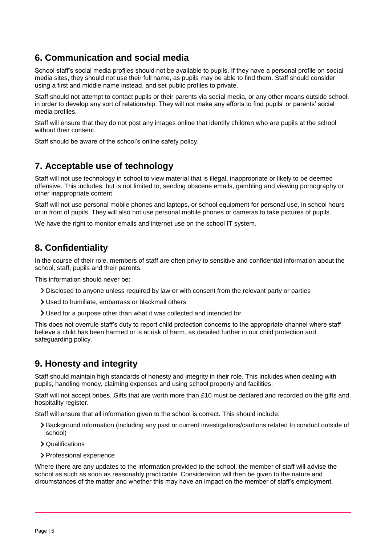# <span id="page-4-0"></span>**6. Communication and social media**

School staff's social media profiles should not be available to pupils. If they have a personal profile on social media sites, they should not use their full name, as pupils may be able to find them. Staff should consider using a first and middle name instead, and set public profiles to private.

Staff should not attempt to contact pupils or their parents via social media, or any other means outside school, in order to develop any sort of relationship. They will not make any efforts to find pupils' or parents' social media profiles.

Staff will ensure that they do not post any images online that identify children who are pupils at the school without their consent.

Staff should be aware of the school's online safety policy.

# <span id="page-4-1"></span>**7. Acceptable use of technology**

Staff will not use technology in school to view material that is illegal, inappropriate or likely to be deemed offensive. This includes, but is not limited to, sending obscene emails, gambling and viewing pornography or other inappropriate content.

Staff will not use personal mobile phones and laptops, or school equipment for personal use, in school hours or in front of pupils. They will also not use personal mobile phones or cameras to take pictures of pupils.

We have the right to monitor emails and internet use on the school IT system.

# <span id="page-4-2"></span>**8. Confidentiality**

In the course of their role, members of staff are often privy to sensitive and confidential information about the school, staff, pupils and their parents.

This information should never be:

- Disclosed to anyone unless required by law or with consent from the relevant party or parties
- Used to humiliate, embarrass or blackmail others
- Used for a purpose other than what it was collected and intended for

This does not overrule staff's duty to report child protection concerns to the appropriate channel where staff believe a child has been harmed or is at risk of harm, as detailed further in our child protection and safeguarding policy.

# <span id="page-4-3"></span>**9. Honesty and integrity**

Staff should maintain high standards of honesty and integrity in their role. This includes when dealing with pupils, handling money, claiming expenses and using school property and facilities.

Staff will not accept bribes. Gifts that are worth more than £10 must be declared and recorded on the gifts and hospitality register.

Staff will ensure that all information given to the school is correct. This should include:

- Background information (including any past or current investigations/cautions related to conduct outside of school)
- Qualifications
- > Professional experience

Where there are any updates to the information provided to the school, the member of staff will advise the school as such as soon as reasonably practicable. Consideration will then be given to the nature and circumstances of the matter and whether this may have an impact on the member of staff's employment.